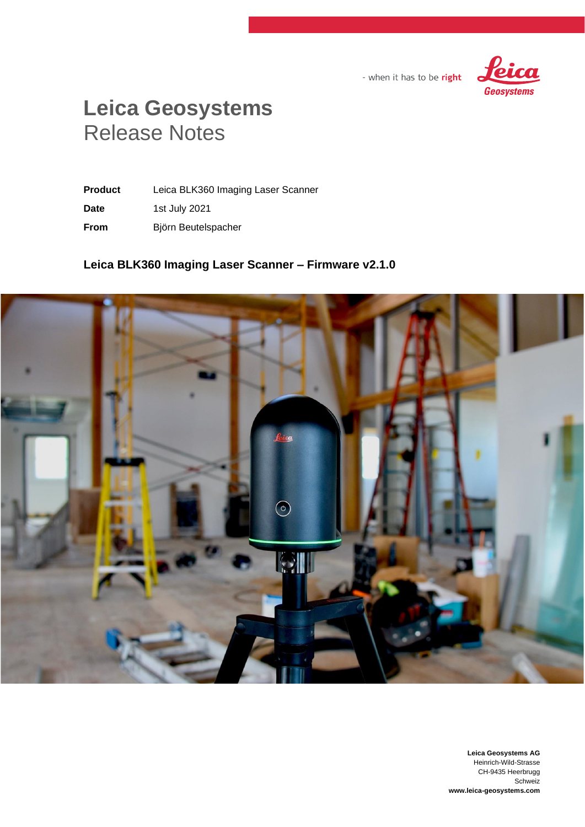

- when it has to be right

# **Leica Geosystems** Release Notes

**Product** Leica BLK360 Imaging Laser Scanner **Date** 1st July 2021 **From** Björn Beutelspacher

# **Leica BLK360 Imaging Laser Scanner – Firmware v2.1.0**



**Leica Geosystems AG** Heinrich-Wild-Strasse CH-9435 Heerbrugg Schweiz **www.leica-geosystems.com**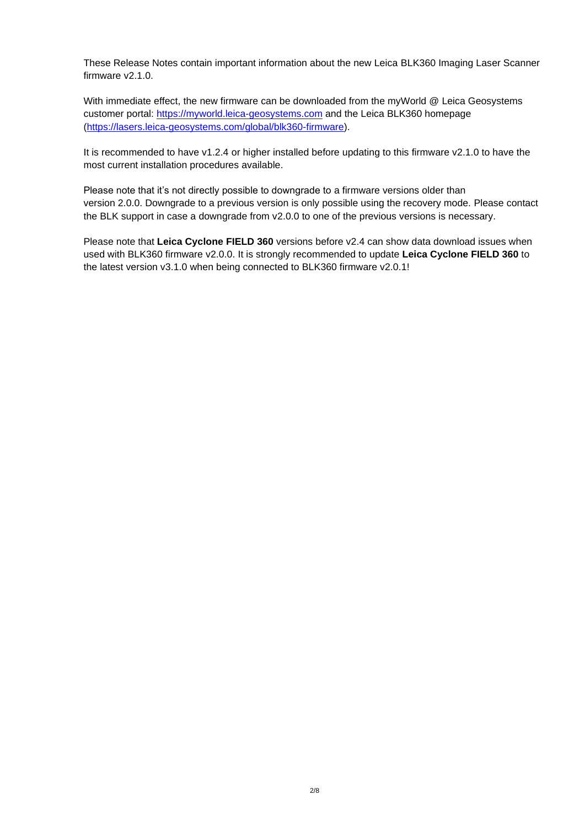These Release Notes contain important information about the new Leica BLK360 Imaging Laser Scanner firmware v2.1.0.

With immediate effect, the new firmware can be downloaded from the myWorld @ Leica Geosystems customer portal: [https://myworld.leica-geosystems.com](https://myworld.leica-geosystems.com/) and the Leica BLK360 homepage [\(https://lasers.leica-geosystems.com/global/blk360-firmware\)](https://lasers.leica-geosystems.com/global/blk360-firmware).

It is recommended to have v1.2.4 or higher installed before updating to this firmware v2.1.0 to have the most current installation procedures available.

Please note that it's not directly possible to downgrade to a firmware versions older than version 2.0.0. Downgrade to a previous version is only possible using the recovery mode. Please contact the BLK support in case a downgrade from v2.0.0 to one of the previous versions is necessary.

Please note that **Leica Cyclone FIELD 360** versions before v2.4 can show data download issues when used with BLK360 firmware v2.0.0. It is strongly recommended to update **Leica Cyclone FIELD 360** to the latest version v3.1.0 when being connected to BLK360 firmware v2.0.1!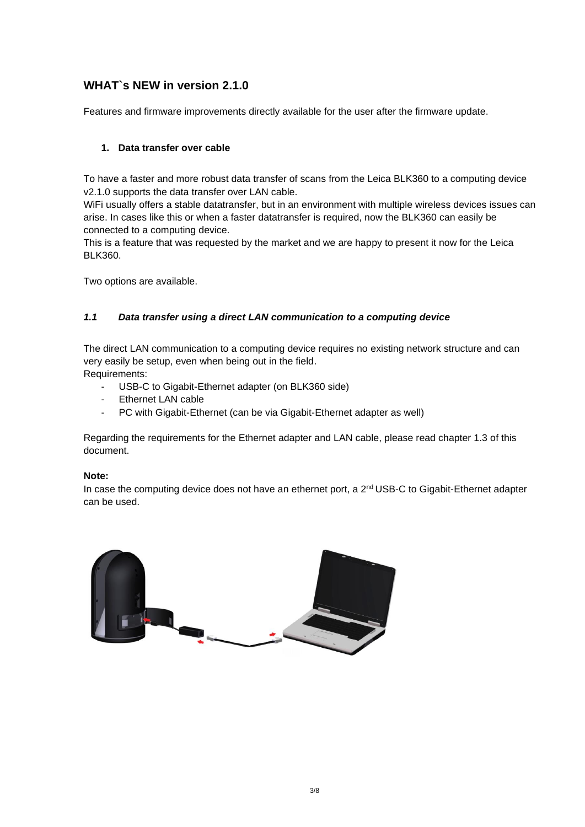# **WHAT`s NEW in version 2.1.0**

Features and firmware improvements directly available for the user after the firmware update.

# **1. Data transfer over cable**

To have a faster and more robust data transfer of scans from the Leica BLK360 to a computing device v2.1.0 supports the data transfer over LAN cable.

WiFi usually offers a stable datatransfer, but in an environment with multiple wireless devices issues can arise. In cases like this or when a faster datatransfer is required, now the BLK360 can easily be connected to a computing device.

This is a feature that was requested by the market and we are happy to present it now for the Leica BLK360.

Two options are available.

# *1.1 Data transfer using a direct LAN communication to a computing device*

The direct LAN communication to a computing device requires no existing network structure and can very easily be setup, even when being out in the field.

Requirements:

- USB-C to Gigabit-Ethernet adapter (on BLK360 side)
- Ethernet LAN cable
- PC with Gigabit-Ethernet (can be via Gigabit-Ethernet adapter as well)

Regarding the requirements for the Ethernet adapter and LAN cable, please read chapter 1.3 of this document.

#### **Note:**

In case the computing device does not have an ethernet port, a 2<sup>nd</sup> USB-C to Gigabit-Ethernet adapter can be used.

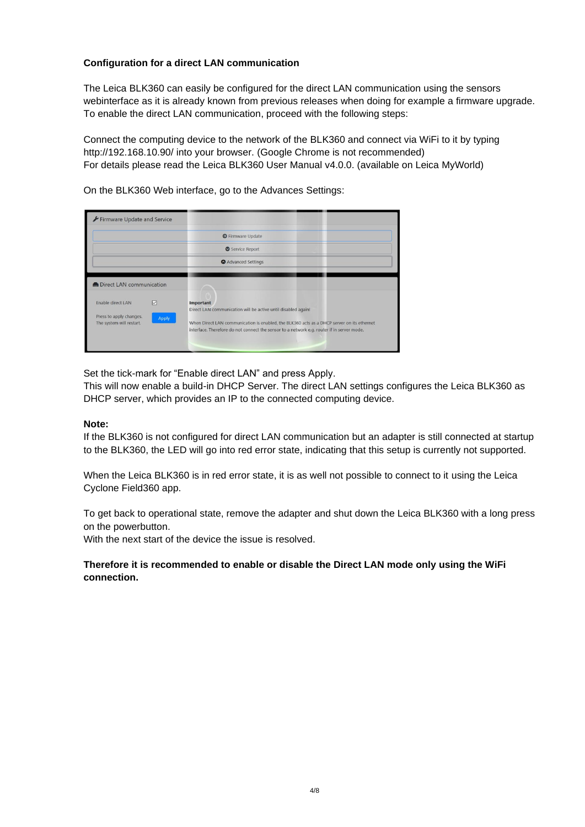# **Configuration for a direct LAN communication**

The Leica BLK360 can easily be configured for the direct LAN communication using the sensors webinterface as it is already known from previous releases when doing for example a firmware upgrade. To enable the direct LAN communication, proceed with the following steps:

Connect the computing device to the network of the BLK360 and connect via WiFi to it by typing http://192.168.10.90/ into your browser. (Google Chrome is not recommended) For details please read the Leica BLK360 User Manual v4.0.0. (available on Leica MyWorld)

On the BLK360 Web interface, go to the Advances Settings:

| Firmware Update and Service                                                                                                 |                                                                                                                                                                                                                                                                        |
|-----------------------------------------------------------------------------------------------------------------------------|------------------------------------------------------------------------------------------------------------------------------------------------------------------------------------------------------------------------------------------------------------------------|
|                                                                                                                             | <b>O</b> Firmware Update                                                                                                                                                                                                                                               |
|                                                                                                                             | Service Report                                                                                                                                                                                                                                                         |
|                                                                                                                             | Advanced Settings                                                                                                                                                                                                                                                      |
| <b>M</b> Direct LAN communication<br>Enable direct LAN<br>☑<br>Press to apply changes.<br>Apply<br>The system will restart. | Important<br>Direct LAN communication will be active until disabled again!<br>When Direct LAN communication is enabled, the BLK360 acts as a DHCP server on its ethernet<br>interface. Therefore do not connect the sensor to a network e.g. router if in server mode. |

Set the tick-mark for "Enable direct LAN" and press Apply.

This will now enable a build-in DHCP Server. The direct LAN settings configures the Leica BLK360 as DHCP server, which provides an IP to the connected computing device.

#### **Note:**

If the BLK360 is not configured for direct LAN communication but an adapter is still connected at startup to the BLK360, the LED will go into red error state, indicating that this setup is currently not supported.

When the Leica BLK360 is in red error state, it is as well not possible to connect to it using the Leica Cyclone Field360 app.

To get back to operational state, remove the adapter and shut down the Leica BLK360 with a long press on the powerbutton.

With the next start of the device the issue is resolved.

**Therefore it is recommended to enable or disable the Direct LAN mode only using the WiFi connection.**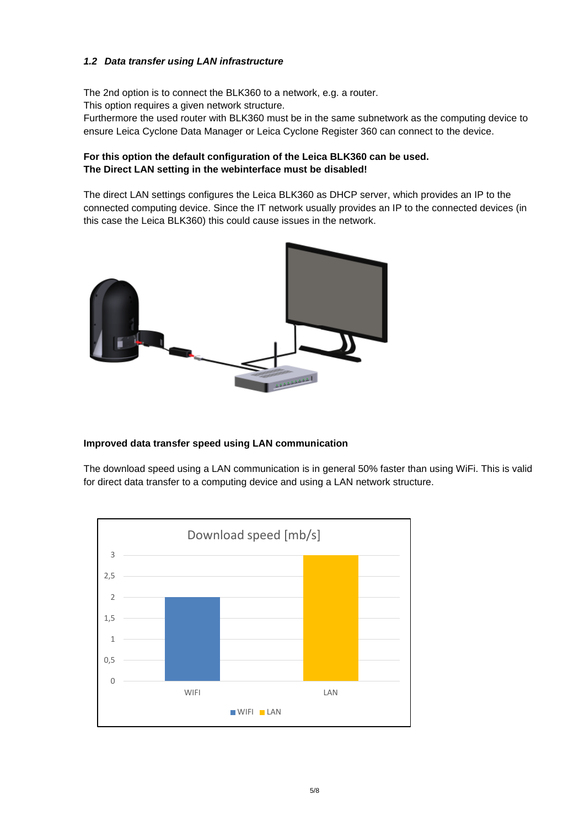# *1.2 Data transfer using LAN infrastructure*

The 2nd option is to connect the BLK360 to a network, e.g. a router.

This option requires a given network structure.

Furthermore the used router with BLK360 must be in the same subnetwork as the computing device to ensure Leica Cyclone Data Manager or Leica Cyclone Register 360 can connect to the device.

# **For this option the default configuration of the Leica BLK360 can be used. The Direct LAN setting in the webinterface must be disabled!**

The direct LAN settings configures the Leica BLK360 as DHCP server, which provides an IP to the connected computing device. Since the IT network usually provides an IP to the connected devices (in this case the Leica BLK360) this could cause issues in the network.



# **Improved data transfer speed using LAN communication**

The download speed using a LAN communication is in general 50% faster than using WiFi. This is valid for direct data transfer to a computing device and using a LAN network structure.

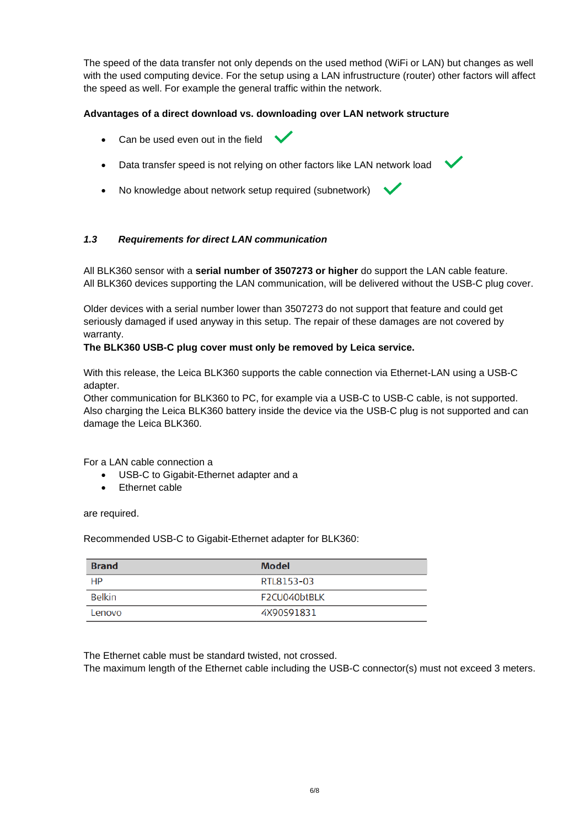The speed of the data transfer not only depends on the used method (WiFi or LAN) but changes as well with the used computing device. For the setup using a LAN infrustructure (router) other factors will affect the speed as well. For example the general traffic within the network.

# **Advantages of a direct download vs. downloading over LAN network structure**

- Can be used even out in the field
- Data transfer speed is not relying on other factors like LAN network load
- No knowledge about network setup required (subnetwork)

#### *1.3 Requirements for direct LAN communication*

All BLK360 sensor with a **serial number of 3507273 or higher** do support the LAN cable feature. All BLK360 devices supporting the LAN communication, will be delivered without the USB-C plug cover.

Older devices with a serial number lower than 3507273 do not support that feature and could get seriously damaged if used anyway in this setup. The repair of these damages are not covered by warranty.

#### **The BLK360 USB-C plug cover must only be removed by Leica service.**

With this release, the Leica BLK360 supports the cable connection via Ethernet-LAN using a USB-C adapter.

Other communication for BLK360 to PC, for example via a USB-C to USB-C cable, is not supported. Also charging the Leica BLK360 battery inside the device via the USB-C plug is not supported and can damage the Leica BLK360.

For a LAN cable connection a

- USB-C to Gigabit-Ethernet adapter and a
- Ethernet cable

are required.

Recommended USB-C to Gigabit-Ethernet adapter for BLK360:

| <b>Brand</b> | <b>Model</b> |
|--------------|--------------|
| HP           | RTL8153-03   |
| Belkin       | F2CU040btBLK |
| Lenovo       | 4X90S91831   |

The Ethernet cable must be standard twisted, not crossed.

The maximum length of the Ethernet cable including the USB-C connector(s) must not exceed 3 meters.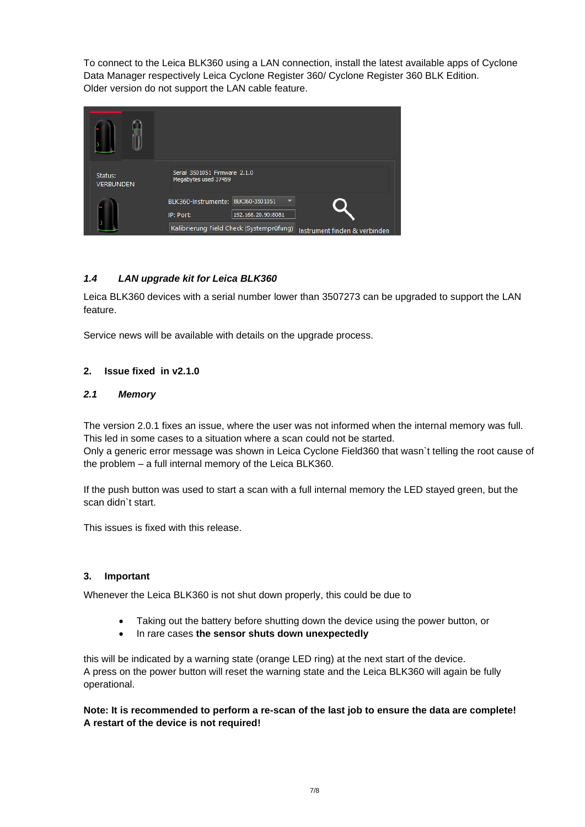To connect to the Leica BLK360 using a LAN connection, install the latest available apps of Cyclone Data Manager respectively Leica Cyclone Register 360/ Cyclone Register 360 BLK Edition. Older version do not support the LAN cable feature.

| Status:<br><b>VERBUNDEN</b> | Serial 3501051 Firmware 2.1.0<br>Megabytes used 37459                     |
|-----------------------------|---------------------------------------------------------------------------|
|                             | BLK360-Instrumente: BLK360-3501051<br>192.168.20.90:8081<br>IP: Port:     |
|                             | Kalibrierung Field Check (Systemprüfung)<br>Instrument finden & verbinden |

# *1.4 LAN upgrade kit for Leica BLK360*

Leica BLK360 devices with a serial number lower than 3507273 can be upgraded to support the LAN feature.

Service news will be available with details on the upgrade process.

# **2. Issue fixed in v2.1.0**

#### *2.1 Memory*

The version 2.0.1 fixes an issue, where the user was not informed when the internal memory was full. This led in some cases to a situation where a scan could not be started. Only a generic error message was shown in Leica Cyclone Field360 that wasn`t telling the root cause of the problem – a full internal memory of the Leica BLK360.

If the push button was used to start a scan with a full internal memory the LED stayed green, but the scan didn`t start.

This issues is fixed with this release.

#### **3. Important**

Whenever the Leica BLK360 is not shut down properly, this could be due to

- Taking out the battery before shutting down the device using the power button, or
- In rare cases **the sensor shuts down unexpectedly**

this will be indicated by a warning state (orange LED ring) at the next start of the device. A press on the power button will reset the warning state and the Leica BLK360 will again be fully operational.

**Note: It is recommended to perform a re-scan of the last job to ensure the data are complete! A restart of the device is not required!**